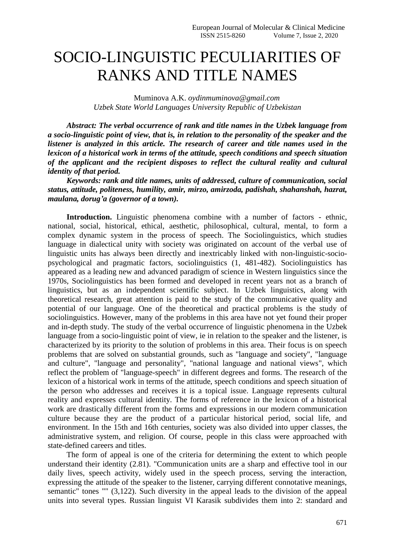## SOCIO-LINGUISTIC PECULIARITIES OF RANKS AND TITLE NAMES

Muminova A.K. *oydinmuminova@gmail.com Uzbek State World Languages University Republic of Uzbekistan*

*Abstract: The verbal occurrence of rank and title names in the Uzbek language from a socio-linguistic point of view, that is, in relation to the personality of the speaker and the listener is analyzed in this article. The research of career and title names used in the lexicon of a historical work in terms of the attitude, speech conditions and speech situation of the applicant and the recipient disposes to reflect the cultural reality and cultural identity of that period.*

*Keywords: rank and title names, units of addressed, culture of communication, social status, attitude, politeness, humility, amir, mirzo, amirzoda, padishah, shahanshah, hazrat, maulana, dorug'a (governor of a town).*

**Introduction.** Linguistic phenomena combine with a number of factors - ethnic, national, social, historical, ethical, aesthetic, philosophical, cultural, mental, to form a complex dynamic system in the process of speech. The Sociolinguistics, which studies language in dialectical unity with society was originated on account of the verbal use of linguistic units has always been directly and inextricably linked with non-linguistic-sociopsychological and pragmatic factors, sociolinguistics (1, 481-482). Sociolinguistics has appeared as a leading new and advanced paradigm of science in Western linguistics since the 1970s, Sociolinguistics has been formed and developed in recent years not as a branch of linguistics, but as an independent scientific subject. In Uzbek linguistics, along with theoretical research, great attention is paid to the study of the communicative quality and potential of our language. One of the theoretical and practical problems is the study of sociolinguistics. However, many of the problems in this area have not yet found their proper and in-depth study. The study of the verbal occurrence of linguistic phenomena in the Uzbek language from a socio-linguistic point of view, ie in relation to the speaker and the listener, is characterized by its priority to the solution of problems in this area. Their focus is on speech problems that are solved on substantial grounds, such as "language and society", "language and culture", "language and personality", "national language and national views", which reflect the problem of "language-speech" in different degrees and forms. The research of the lexicon of a historical work in terms of the attitude, speech conditions and speech situation of the person who addresses and receives it is a topical issue. Language represents cultural reality and expresses cultural identity. The forms of reference in the lexicon of a historical work are drastically different from the forms and expressions in our modern communication culture because they are the product of a particular historical period, social life, and environment. In the 15th and 16th centuries, society was also divided into upper classes, the administrative system, and religion. Of course, people in this class were approached with state-defined careers and titles.

The form of appeal is one of the criteria for determining the extent to which people understand their identity (2.81). "Communication units are a sharp and effective tool in our daily lives, speech activity, widely used in the speech process, serving the interaction, expressing the attitude of the speaker to the listener, carrying different connotative meanings, semantic" tones "" (3,122). Such diversity in the appeal leads to the division of the appeal units into several types. Russian linguist VI Karasik subdivides them into 2: standard and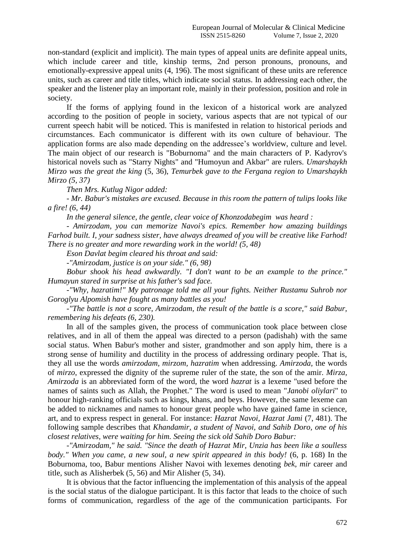non-standard (explicit and implicit). The main types of appeal units are definite appeal units, which include career and title, kinship terms, 2nd person pronouns, pronouns, and emotionally-expressive appeal units (4, 196). The most significant of these units are reference units, such as career and title titles, which indicate social status. In addressing each other, the speaker and the listener play an important role, mainly in their profession, position and role in society.

If the forms of applying found in the lexicon of a historical work are analyzed according to the position of people in society, various aspects that are not typical of our current speech habit will be noticed. This is manifested in relation to historical periods and circumstances. Each communicator is different with its own culture of behaviour. The application forms are also made depending on the addressee's worldview, culture and level. The main object of our research is "Boburnoma" and the main characters of P. Kadyrov's historical novels such as "Starry Nights" and "Humoyun and Akbar" are rulers. *Umarshaykh Mirzo was the great the king* (5, 36), *Temurbek gave to the Fergana region to Umarshaykh Mirzo (5, 37)*

*Then Mrs. Kutlug Nigor added:*

*- Mr. Babur's mistakes are excused. Because in this room the pattern of tulips looks like a fire! (6, 44)*

*In the general silence, the gentle, clear voice of Khonzodabegim was heard :*

*- Amirzodam, you can memorize Navoi's epics. Remember how amazing buildings Farhod built. I, your sadness sister, have always dreamed of you will be creative like Farhod! There is no greater and more rewarding work in the world! (5, 48)*

*Eson Davlat begim cleared his throat and said:*

*-"Amirzodam, justice is on your side." (6, 98)*

*Bobur shook his head awkwardly. "I don't want to be an example to the prince." Humayun stared in surprise at his father's sad face.*

*-"Why, hazratim!" My patronage told me all your fights. Neither Rustamu Suhrob nor Goroglyu Alpomish have fought as many battles as you!*

*-"The battle is not a score, Amirzodam, the result of the battle is a score," said Babur, remembering his defeats (6, 230).*

In all of the samples given, the process of communication took place between close relatives, and in all of them the appeal was directed to a person (padishah) with the same social status. When Babur's mother and sister, grandmother and son apply him, there is a strong sense of humility and ductility in the process of addressing ordinary people. That is, they all use the words *amirzodam, mirzom, hazratim* when addressing. *Amirzoda,* the words of *mirzo*, expressed the dignity of the supreme ruler of the state, the son of the amir. *Mirza, Amirzoda* is an abbreviated form of the word, the word *hazrat* is a lexeme "used before the names of saints such as Allah, the Prophet." The word is used to mean "*Janobi oliylari*" to honour high-ranking officials such as kings, khans, and beys. However, the same lexeme can be added to nicknames and names to honour great people who have gained fame in science, art, and to express respect in general. For instance: *Hazrat Navoi, Hazrat Jami* (7, 481). The following sample describes that *Khandamir, a student of Navoi, and Sahib Doro, one of his closest relatives, were waiting for him. Seeing the sick old Sahib Doro Babur:*

*-"Amirzodam," he said. "Since the death of Hazrat Mir, Unzia has been like a soulless body." When you came, a new soul, a new spirit appeared in this body!* (6, p. 168) In the Boburnoma, too, Babur mentions Alisher Navoi with lexemes denoting *bek, mir* career and title, such as Alisherbek (5, 56) and Mir Alisher (5, 34).

It is obvious that the factor influencing the implementation of this analysis of the appeal is the social status of the dialogue participant. It is this factor that leads to the choice of such forms of communication, regardless of the age of the communication participants. For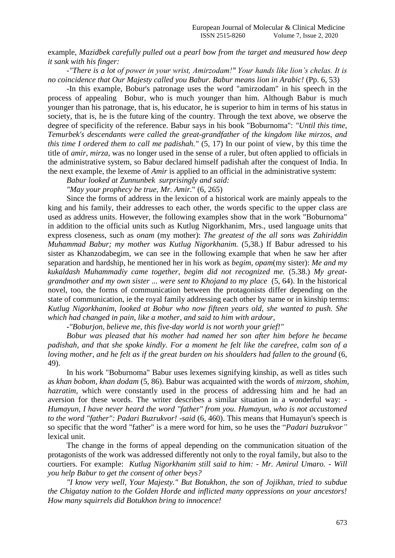example, *Mazidbek carefully pulled out a pearl bow from the target and measured how deep it sank with his finger:*

*-"There is a lot of power in your wrist, Amirzodam!" Your hands like lion's chelas. It is no coincidence that Our Majesty called you Babur. Babur means lion in Arabic!* (Pp. 6, 53)

-In this example, Bobur's patronage uses the word "amirzodam" in his speech in the process of appealing Bobur, who is much younger than him. Although Babur is much younger than his patronage, that is, his educator, he is superior to him in terms of his status in society, that is, he is the future king of the country. Through the text above, we observe the degree of specificity of the reference. Babur says in his book "Boburnoma": *"Until this time, Temurbek's descendants were called the great-grandfather of the kingdom like mirzos, and this time I ordered them to call me padishah."* (5, 17) In our point of view, by this time the title of *amir, mirza,* was no longer used in the sense of a ruler, but often applied to officials in the administrative system, so Babur declared himself padishah after the conquest of India. In the next example, the lexeme of *Amir* is applied to an official in the administrative system:

*Babur looked at Zunnunbek surprisingly and said:*

*"May your prophecy be true, Mr. Amir.*" (6, 265)

Since the forms of address in the lexicon of a historical work are mainly appeals to the king and his family, their addresses to each other, the words specific to the upper class are used as address units. However, the following examples show that in the work "Boburnoma" in addition to the official units such as Kutlug Nigorkhanim, Mrs., used language units that express closeness, such as *onam* (my mother): *The greatest of the all sons was Zahiriddin Muhammad Babur; my mother was Kutlug Nigorkhanim.* (5,38.) If Babur adressed to his sister as Khanzodabegim, we can see in the following example that when he saw her after separation and hardship, he mentioned her in his work as *begim, opam*(my sister): *Me and my kukaldash Muhammadiy came together, begim did not recognized me.* (5.38.) *My greatgrandmother and my own sister ... were sent to Khojand to my place* (5, 64). In the historical novel, too, the forms of communication between the protagonists differ depending on the state of communication, ie the royal family addressing each other by name or in kinship terms: *Kutlug Nigorkhanim, looked at Bobur who now fifteen years old, she wanted to push. She which had changed in pain, like a mother, and said to him with ardour,* 

*-"Boburjon, believe me, this five-day world is not worth your grief!"*

*Bobur was pleased that his mother had named her son after him before he became padishah, and that she spoke kindly. For a moment he felt like the carefree, calm son of a loving mother, and he felt as if the great burden on his shoulders had fallen to the ground* (6, 49).

In his work "Boburnoma" Babur uses lexemes signifying kinship, as well as titles such as *khan bobom, khan dodam* (5, 86). Babur was acquainted with the words of *mirzom, shohim, hazratim,* which were constantly used in the process of addressing him and he had an aversion for these words. The writer describes a similar situation in a wonderful way: - *Humayun, I have never heard the word "father" from you. Humayun, who is not accustomed to the word "father": Padari Buzrukvor! -said* (6, 460). This means that Humayun's speech is so specific that the word "father" is a mere word for him, so he uses the "*Padari buzrukvor"* lexical unit.

The change in the forms of appeal depending on the communication situation of the protagonists of the work was addressed differently not only to the royal family, but also to the courtiers. For example: *Kutlug Nigorkhanim still said to him: - Mr. Amirul Umaro. - Will you help Babur to get the consent of other beys?*

*"I know very well, Your Majesty." But Botukhon, the son of Jojikhan, tried to subdue the Chigatay nation to the Golden Horde and inflicted many oppressions on your ancestors! How many squirrels did Botukhon bring to innocence!*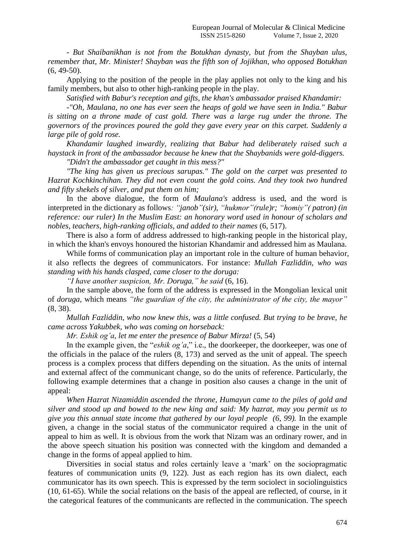*- But Shaibanikhan is not from the Botukhan dynasty, but from the Shayban ulus, remember that, Mr. Minister! Shayban was the fifth son of Jojikhan, who opposed Botukhan*   $(6, 49-50)$ .

Applying to the position of the people in the play applies not only to the king and his family members, but also to other high-ranking people in the play.

*Satisfied with Babur's reception and gifts, the khan's ambassador praised Khandamir:*

*-"Oh, Maulana, no one has ever seen the heaps of gold we have seen in India." Babur is sitting on a throne made of cast gold. There was a large rug under the throne. The governors of the provinces poured the gold they gave every year on this carpet. Suddenly a large pile of gold rose.*

*Khandamir laughed inwardly, realizing that Babur had deliberately raised such a haystack in front of the ambassador because he knew that the Shaybanids were gold-diggers.*

*"Didn't the ambassador get caught in this mess?"*

*"The king has given us precious sarupas." The gold on the carpet was presented to Hazrat Kochkinchihan. They did not even count the gold coins. And they took two hundred and fifty shekels of silver, and put them on him;*

In the above dialogue, the form of *Maulana's* address is used, and the word is interpreted in the dictionary as follows*: "janob"(sir), "hukmor"(rule)r; "homiy"( patron) (in reference: our ruler) In the Muslim East: an honorary word used in honour of scholars and nobles, teachers, high-ranking officials, and added to their names* (6, 517).

There is also a form of address addressed to high-ranking people in the historical play, in which the khan's envoys honoured the historian Khandamir and addressed him as Maulana.

While forms of communication play an important role in the culture of human behavior, it also reflects the degrees of communicators. For instance: *Mullah Fazliddin, who was standing with his hands clasped, came closer to the doruga:*

*"I have another suspicion, Mr. Doruga," he said* (6, 16).

In the sample above, the form of the address is expressed in the Mongolian lexical unit of *doruga,* which means *"the guardian of the city, the administrator of the city, the mayor"* (8, 38).

*Mullah Fazliddin, who now knew this, was a little confused. But trying to be brave, he came across Yakubbek, who was coming on horseback:*

*Mr. Eshik og'a, let me enter the presence of Babur Mirza!* (5, 54)

In the example given, the "*eshik og'a*," i.e., the doorkeeper, the doorkeeper, was one of the officials in the palace of the rulers (8, 173) and served as the unit of appeal. The speech process is a complex process that differs depending on the situation. As the units of internal and external affect of the communicant change, so do the units of reference. Particularly, the following example determines that a change in position also causes a change in the unit of appeal:

*When Hazrat Nizamiddin ascended the throne, Humayun came to the piles of gold and silver and stood up and bowed to the new king and said: My hazrat, may you permit us to give you this annual state income that gathered by our loyal people (6, 99).* In the example given, a change in the social status of the communicator required a change in the unit of appeal to him as well. It is obvious from the work that Nizam was an ordinary rower, and in the above speech situation his position was connected with the kingdom and demanded a change in the forms of appeal applied to him.

Diversities in social status and roles certainly leave a 'mark' on the sociopragmatic features of communication units (9, 122). Just as each region has its own dialect, each communicator has its own speech. This is expressed by the term sociolect in sociolinguistics (10, 61-65). While the social relations on the basis of the appeal are reflected, of course, in it the categorical features of the communicants are reflected in the communication. The speech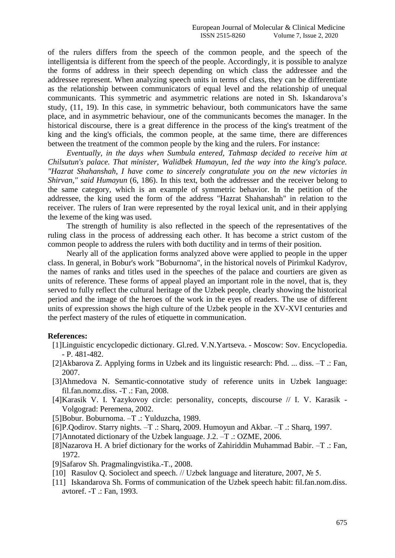of the rulers differs from the speech of the common people, and the speech of the intelligentsia is different from the speech of the people. Accordingly, it is possible to analyze the forms of address in their speech depending on which class the addressee and the addressee represent. When analyzing speech units in terms of class, they can be differentiate as the relationship between communicators of equal level and the relationship of unequal communicants. This symmetric and asymmetric relations are noted in Sh. Iskandarova's study, (11, 19). In this case, in symmetric behaviour, both communicators have the same place, and in asymmetric behaviour, one of the communicants becomes the manager. In the historical discourse, there is a great difference in the process of the king's treatment of the king and the king's officials, the common people, at the same time, there are differences between the treatment of the common people by the king and the rulers. For instance:

*Eventually, in the days when Sumbula entered, Tahmasp decided to receive him at Chilsutun's palace. That minister, Walidbek Humayun, led the way into the king's palace. "Hazrat Shahanshah, I have come to sincerely congratulate you on the new victories in Shirvan," said Humayun* (6, 186). In this text, both the addresser and the receiver belong to the same category, which is an example of symmetric behavior. In the petition of the addressee, the king used the form of the address "Hazrat Shahanshah" in relation to the receiver. The rulers of Iran were represented by the royal lexical unit, and in their applying the lexeme of the king was used.

The strength of humility is also reflected in the speech of the representatives of the ruling class in the process of addressing each other. It has become a strict custom of the common people to address the rulers with both ductility and in terms of their position.

Nearly all of the application forms analyzed above were applied to people in the upper class. In general, in Bobur's work "Boburnoma", in the historical novels of Pirimkul Kadyrov, the names of ranks and titles used in the speeches of the palace and courtiers are given as units of reference. These forms of appeal played an important role in the novel, that is, they served to fully reflect the cultural heritage of the Uzbek people, clearly showing the historical period and the image of the heroes of the work in the eyes of readers. The use of different units of expression shows the high culture of the Uzbek people in the XV-XVI centuries and the perfect mastery of the rules of etiquette in communication.

## **References:**

- [1]Linguistic encyclopedic dictionary. Gl.red. V.N.Yartseva. Moscow: Sov. Encyclopedia. - P. 481-482.
- [2]Akbarova Z. Applying forms in Uzbek and its linguistic research: Phd. ... diss. –T .: Fan, 2007.
- [3]Ahmedova N. Semantic-connotative study of reference units in Uzbek language: fil.fan.nomz.diss. -T .: Fan, 2008.
- [4]Karasik V. I. Yazykovoy circle: personality, concepts, discourse // I. V. Karasik Volgograd: Peremena, 2002.
- [5]Bobur. Boburnoma. –T .: Yulduzcha, 1989.
- [6]P.Qodirov. Starry nights. –T .: Sharq, 2009. Humoyun and Akbar. –T .: Sharq, 1997.
- [7]Annotated dictionary of the Uzbek language. J.2. –T .: OZME, 2006.
- [8]Nazarova H. A brief dictionary for the works of Zahiriddin Muhammad Babir. –T .: Fan, 1972.
- [9]Safarov Sh. Pragmalingvistika.-T., 2008.
- [10] Rasulov Q. Sociolect and speech. // Uzbek language and literature, 2007, № 5.
- [11] Iskandarova Sh. Forms of communication of the Uzbek speech habit: fil.fan.nom.diss. avtoref. -T .: Fan, 1993.